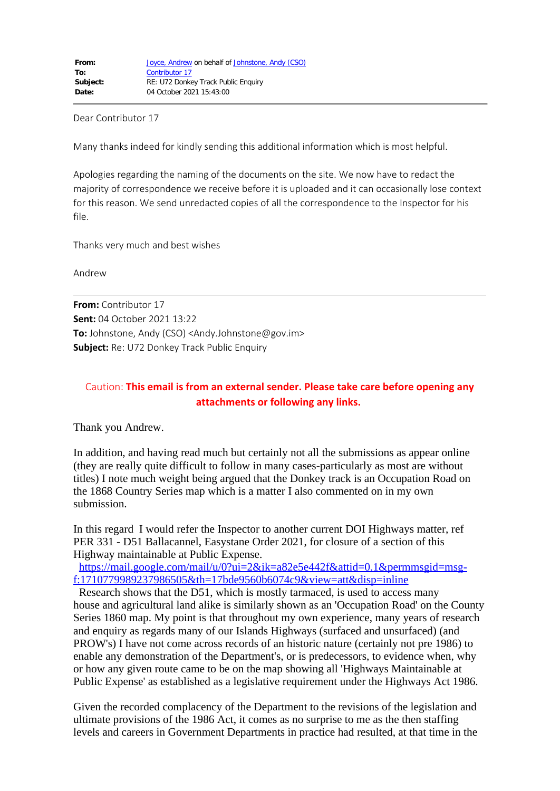Dear Contributor 17

Many thanks indeed for kindly sending this additional information which is most helpful.

Apologies regarding the naming of the documents on the site. We now have to redact the majority of correspondence we receive before it is uploaded and it can occasionally lose context for this reason. We send unredacted copies of all the correspondence to the Inspector for his file.

Thanks very much and best wishes

Andrew

**From:** Contributor 17 **Sent:** 04 October 2021 13:22 **To:** Johnstone, Andy (CSO) <Andy.Johnstone@gov.im> **Subject:** Re: U72 Donkey Track Public Enquiry

## Caution: **This email is from an external sender. Please take care before opening any attachments or following any links.**

Thank you Andrew.

In addition, and having read much but certainly not all the submissions as appear online (they are really quite difficult to follow in many cases-particularly as most are without titles) I note much weight being argued that the Donkey track is an Occupation Road on the 1868 Country Series map which is a matter I also commented on in my own submission.

In this regard I would refer the Inspector to another current DOI Highways matter, ref PER 331 - D51 Ballacannel, Easystane Order 2021, for closure of a section of this Highway maintainable at Public Expense.

 https://mail.google.com/mail/u/0?ui=2&ik=a82e5e442f&attid=0.1&permmsgid=msgf:1710779989237986505&th=17bde9560b6074c9&view=att&disp=inline

 Research shows that the D51, which is mostly tarmaced, is used to access many house and agricultural land alike is similarly shown as an 'Occupation Road' on the County Series 1860 map. My point is that throughout my own experience, many years of research and enquiry as regards many of our Islands Highways (surfaced and unsurfaced) (and PROW's) I have not come across records of an historic nature (certainly not pre 1986) to enable any demonstration of the Department's, or is predecessors, to evidence when, why or how any given route came to be on the map showing all 'Highways Maintainable at Public Expense' as established as a legislative requirement under the Highways Act 1986.

Given the recorded complacency of the Department to the revisions of the legislation and ultimate provisions of the 1986 Act, it comes as no surprise to me as the then staffing levels and careers in Government Departments in practice had resulted, at that time in the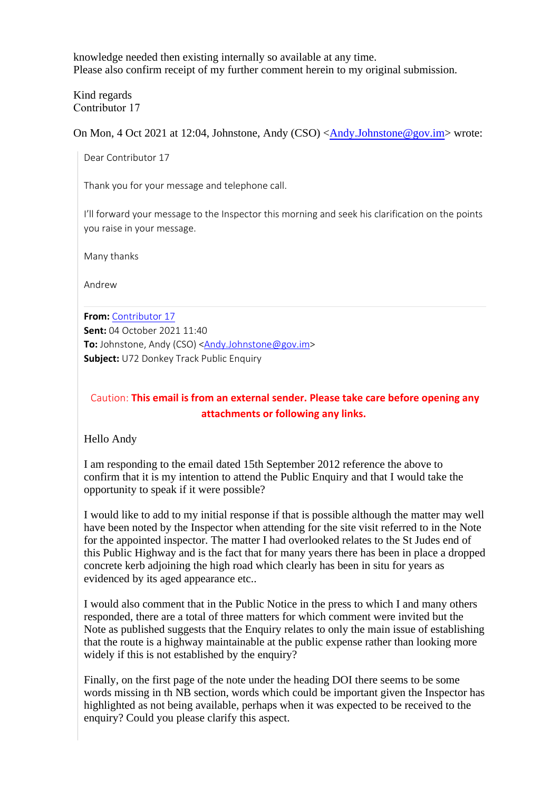knowledge needed then existing internally so available at any time. Please also confirm receipt of my further comment herein to my original submission.

Kind regards Contributor 17

On Mon, 4 Oct 2021 at 12:04, Johnstone, Andy (CSO) <Andy.Johnstone@gov.im> wrote:

Dear Contributor 17

Thank you for your message and telephone call.

I'll forward your message to the Inspector this morning and seek his clarification on the points you raise in your message.

Many thanks

Andrew

**From:** Contributor 17 **Sent:** 04 October 2021 11:40 **To:** Johnstone, Andy (CSO) <**Andy.Johnstone@gov.im> Subject:** U72 Donkey Track Public Enquiry

## Caution: **This email is from an external sender. Please take care before opening any attachments or following any links.**

Hello Andy

I am responding to the email dated 15th September 2012 reference the above to confirm that it is my intention to attend the Public Enquiry and that I would take the opportunity to speak if it were possible?

I would like to add to my initial response if that is possible although the matter may well have been noted by the Inspector when attending for the site visit referred to in the Note for the appointed inspector. The matter I had overlooked relates to the St Judes end of this Public Highway and is the fact that for many years there has been in place a dropped concrete kerb adjoining the high road which clearly has been in situ for years as evidenced by its aged appearance etc..

I would also comment that in the Public Notice in the press to which I and many others responded, there are a total of three matters for which comment were invited but the Note as published suggests that the Enquiry relates to only the main issue of establishing that the route is a highway maintainable at the public expense rather than looking more widely if this is not established by the enquiry?

Finally, on the first page of the note under the heading DOI there seems to be some words missing in th NB section, words which could be important given the Inspector has highlighted as not being available, perhaps when it was expected to be received to the enquiry? Could you please clarify this aspect.